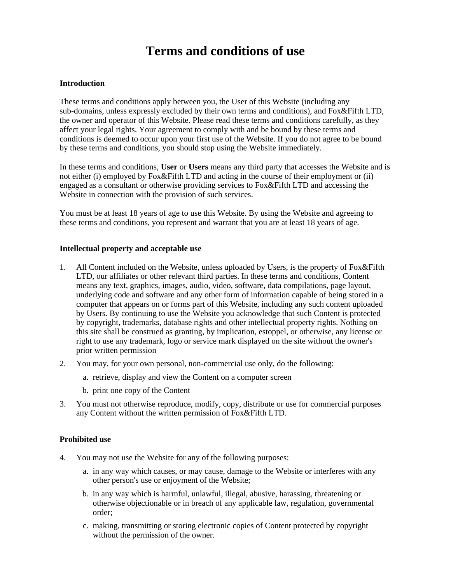# **Terms and conditions of use**

#### **Introduction**

These terms and conditions apply between you, the User of this Website (including any sub-domains, unless expressly excluded by their own terms and conditions), and Fox&Fifth LTD, the owner and operator of this Website. Please read these terms and conditions carefully, as they affect your legal rights. Your agreement to comply with and be bound by these terms and conditions is deemed to occur upon your first use of the Website. If you do not agree to be bound by these terms and conditions, you should stop using the Website immediately.

In these terms and conditions, **User** or **Users** means any third party that accesses the Website and is not either (i) employed by Fox&Fifth LTD and acting in the course of their employment or (ii) engaged as a consultant or otherwise providing services to Fox&Fifth LTD and accessing the Website in connection with the provision of such services.

You must be at least 18 years of age to use this Website. By using the Website and agreeing to these terms and conditions, you represent and warrant that you are at least 18 years of age.

#### **Intellectual property and acceptable use**

- 1. All Content included on the Website, unless uploaded by Users, is the property of Fox&Fifth LTD, our affiliates or other relevant third parties. In these terms and conditions, Content means any text, graphics, images, audio, video, software, data compilations, page layout, underlying code and software and any other form of information capable of being stored in a computer that appears on or forms part of this Website, including any such content uploaded by Users. By continuing to use the Website you acknowledge that such Content is protected by copyright, trademarks, database rights and other intellectual property rights. Nothing on this site shall be construed as granting, by implication, estoppel, or otherwise, any license or right to use any trademark, logo or service mark displayed on the site without the owner's prior written permission
- 2. You may, for your own personal, non-commercial use only, do the following:
	- a. retrieve, display and view the Content on a computer screen
	- b. print one copy of the Content
- 3. You must not otherwise reproduce, modify, copy, distribute or use for commercial purposes any Content without the written permission of Fox&Fifth LTD.

#### **Prohibited use**

- 4. You may not use the Website for any of the following purposes:
	- a. in any way which causes, or may cause, damage to the Website or interferes with any other person's use or enjoyment of the Website;
	- b. in any way which is harmful, unlawful, illegal, abusive, harassing, threatening or otherwise objectionable or in breach of any applicable law, regulation, governmental order;
	- c. making, transmitting or storing electronic copies of Content protected by copyright without the permission of the owner.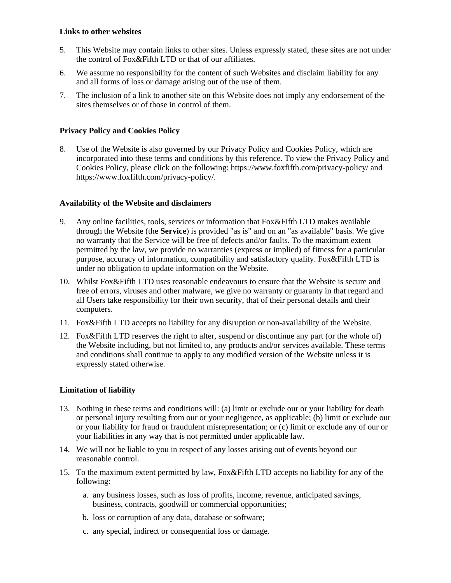#### **Links to other websites**

- 5. This Website may contain links to other sites. Unless expressly stated, these sites are not under the control of Fox&Fifth LTD or that of our affiliates.
- 6. We assume no responsibility for the content of such Websites and disclaim liability for any and all forms of loss or damage arising out of the use of them.
- 7. The inclusion of a link to another site on this Website does not imply any endorsement of the sites themselves or of those in control of them.

# **Privacy Policy and Cookies Policy**

8. Use of the Website is also governed by our Privacy Policy and Cookies Policy, which are incorporated into these terms and conditions by this reference. To view the Privacy Policy and Cookies Policy, please click on the following: https://www.foxfifth.com/privacy-policy/ and https://www.foxfifth.com/privacy-policy/.

### **Availability of the Website and disclaimers**

- 9. Any online facilities, tools, services or information that Fox&Fifth LTD makes available through the Website (the **Service**) is provided "as is" and on an "as available" basis. We give no warranty that the Service will be free of defects and/or faults. To the maximum extent permitted by the law, we provide no warranties (express or implied) of fitness for a particular purpose, accuracy of information, compatibility and satisfactory quality. Fox&Fifth LTD is under no obligation to update information on the Website.
- 10. Whilst Fox&Fifth LTD uses reasonable endeavours to ensure that the Website is secure and free of errors, viruses and other malware, we give no warranty or guaranty in that regard and all Users take responsibility for their own security, that of their personal details and their computers.
- 11. Fox&Fifth LTD accepts no liability for any disruption or non-availability of the Website.
- 12. Fox&Fifth LTD reserves the right to alter, suspend or discontinue any part (or the whole of) the Website including, but not limited to, any products and/or services available. These terms and conditions shall continue to apply to any modified version of the Website unless it is expressly stated otherwise.

# **Limitation of liability**

- 13. Nothing in these terms and conditions will: (a) limit or exclude our or your liability for death or personal injury resulting from our or your negligence, as applicable; (b) limit or exclude our or your liability for fraud or fraudulent misrepresentation; or (c) limit or exclude any of our or your liabilities in any way that is not permitted under applicable law.
- 14. We will not be liable to you in respect of any losses arising out of events beyond our reasonable control.
- 15. To the maximum extent permitted by law, Fox&Fifth LTD accepts no liability for any of the following:
	- a. any business losses, such as loss of profits, income, revenue, anticipated savings, business, contracts, goodwill or commercial opportunities;
	- b. loss or corruption of any data, database or software;
	- c. any special, indirect or consequential loss or damage.